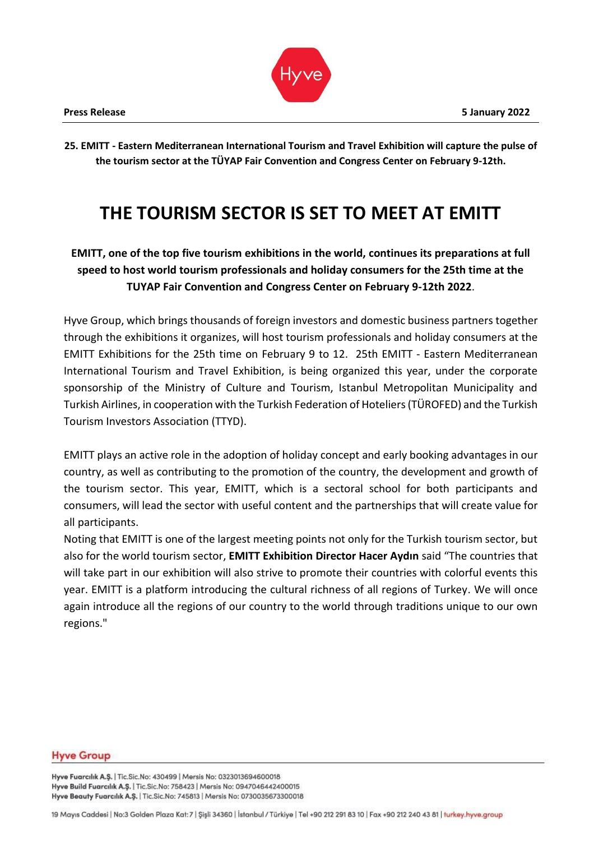**25. EMITT - Eastern Mediterranean International Tourism and Travel Exhibition will capture the pulse of the tourism sector at the TÜYAP Fair Convention and Congress Center on February 9-12th.**

# **THE TOURISM SECTOR IS SET TO MEET AT EMITT**

# **EMITT, one of the top five tourism exhibitions in the world, continues its preparations at full speed to host world tourism professionals and holiday consumers for the 25th time at the TUYAP Fair Convention and Congress Center on February 9-12th 2022**.

Hyve Group, which brings thousands of foreign investors and domestic business partners together through the exhibitions it organizes, will host tourism professionals and holiday consumers at the EMITT Exhibitions for the 25th time on February 9 to 12. 25th EMITT - Eastern Mediterranean International Tourism and Travel Exhibition, is being organized this year, under the corporate sponsorship of the Ministry of Culture and Tourism, Istanbul Metropolitan Municipality and Turkish Airlines, in cooperation with the Turkish Federation of Hoteliers (TÜROFED) and the Turkish Tourism Investors Association (TTYD).

EMITT plays an active role in the adoption of holiday concept and early booking advantages in our country, as well as contributing to the promotion of the country, the development and growth of the tourism sector. This year, EMITT, which is a sectoral school for both participants and consumers, will lead the sector with useful content and the partnerships that will create value for all participants.

Noting that EMITT is one of the largest meeting points not only for the Turkish tourism sector, but also for the world tourism sector, **EMITT Exhibition Director Hacer Aydın** said "The countries that will take part in our exhibition will also strive to promote their countries with colorful events this year. EMITT is a platform introducing the cultural richness of all regions of Turkey. We will once again introduce all the regions of our country to the world through traditions unique to our own regions."

#### **Hyve Group**

Hyve Fuarcılık A.Ş. | Tic.Sic.No: 430499 | Mersis No: 0323013694600018 Hyve Build Fuarcılık A.Ş. | Tic.Sic.No: 758423 | Mersis No: 0947046442400015 Hyve Beauty Fuarcılık A.Ş. | Tic.Sic.No: 745813 | Mersis No: 0730035673300018

19 Mayıs Caddesi | No:3 Golden Plaza Kat: 7 | Şişli 34360 | İstanbul / Türkiye | Tel +90 212 291 83 10 | Fax +90 212 240 43 81 | turkey.hyve.group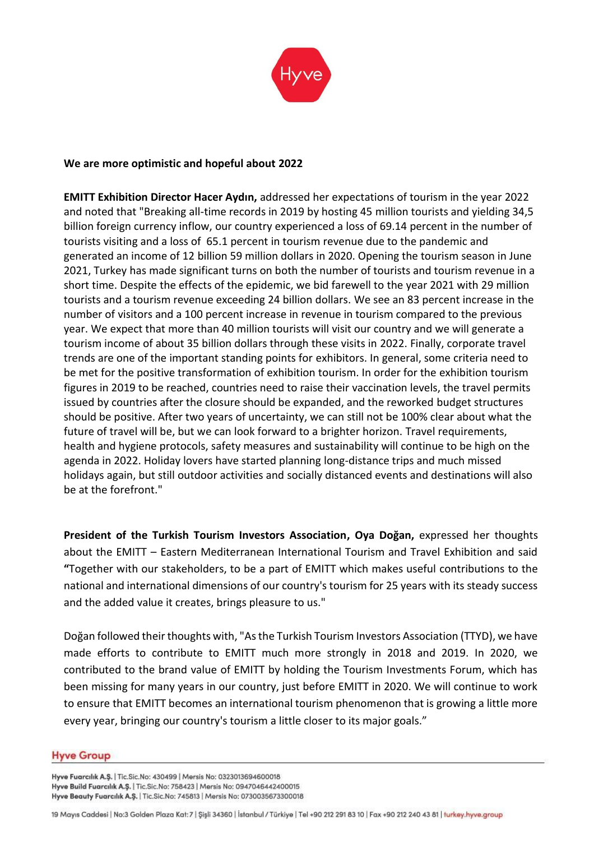

## **We are more optimistic and hopeful about 2022**

**EMITT Exhibition Director Hacer Aydın,** addressed her expectations of tourism in the year 2022 and noted that "Breaking all-time records in 2019 by hosting 45 million tourists and yielding 34,5 billion foreign currency inflow, our country experienced a loss of 69.14 percent in the number of tourists visiting and a loss of 65.1 percent in tourism revenue due to the pandemic and generated an income of 12 billion 59 million dollars in 2020. Opening the tourism season in June 2021, Turkey has made significant turns on both the number of tourists and tourism revenue in a short time. Despite the effects of the epidemic, we bid farewell to the year 2021 with 29 million tourists and a tourism revenue exceeding 24 billion dollars. We see an 83 percent increase in the number of visitors and a 100 percent increase in revenue in tourism compared to the previous year. We expect that more than 40 million tourists will visit our country and we will generate a tourism income of about 35 billion dollars through these visits in 2022. Finally, corporate travel trends are one of the important standing points for exhibitors. In general, some criteria need to be met for the positive transformation of exhibition tourism. In order for the exhibition tourism figures in 2019 to be reached, countries need to raise their vaccination levels, the travel permits issued by countries after the closure should be expanded, and the reworked budget structures should be positive. After two years of uncertainty, we can still not be 100% clear about what the future of travel will be, but we can look forward to a brighter horizon. Travel requirements, health and hygiene protocols, safety measures and sustainability will continue to be high on the agenda in 2022. Holiday lovers have started planning long-distance trips and much missed holidays again, but still outdoor activities and socially distanced events and destinations will also be at the forefront."

**President of the Turkish Tourism Investors Association, Oya Doğan,** expressed her thoughts about the EMITT – Eastern Mediterranean International Tourism and Travel Exhibition and said **"**Together with our stakeholders, to be a part of EMITT which makes useful contributions to the national and international dimensions of our country's tourism for 25 years with its steady success and the added value it creates, brings pleasure to us."

Doğan followed their thoughts with, "As the Turkish Tourism Investors Association (TTYD), we have made efforts to contribute to EMITT much more strongly in 2018 and 2019. In 2020, we contributed to the brand value of EMITT by holding the Tourism Investments Forum, which has been missing for many years in our country, just before EMITT in 2020. We will continue to work to ensure that EMITT becomes an international tourism phenomenon that is growing a little more every year, bringing our country's tourism a little closer to its major goals."

#### **Hyve Group**

Hyve Fuarcılık A.Ş. | Tic.Sic.No: 430499 | Mersis No: 0323013694600018 Hyve Build Fuarcılık A.Ş. | Tic.Sic.No: 758423 | Mersis No: 0947046442400015 Hyve Beauty Fuarcılık A.Ş. | Tic.Sic.No: 745813 | Mersis No: 0730035673300018

19 Mayıs Caddesi | No:3 Golden Plaza Kat: 7 | Şişli 34360 | İstanbul / Türkiye | Tel +90 212 291 83 10 | Fax +90 212 240 43 81 | turkey.hyve.group